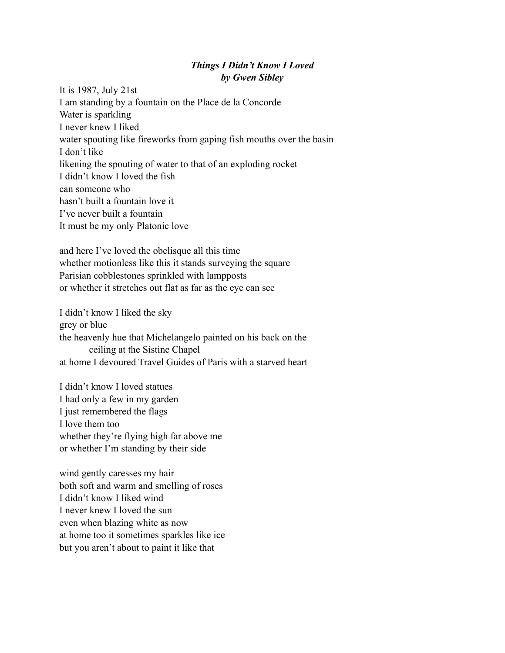## *Things I Didn't Know I Loved by Gwen Sibley*

It ís 1987, July 21st I am standing by a fountain on the Place de la Concorde Water is sparkling I never knew I liked water spouting like fireworks from gaping fish mouths over the basin I don't like likening the spouting of water to that of an exploding rocket I didn't know I loved the fish can someone who hasn't built a fountain love it I've never built a fountain It must be my only Platonic love

and here I've loved the obelisque all this time whether motionless like this it stands surveying the square Parisian cobblestones sprinkled with lampposts or whether it stretches out flat as far as the eye can see

I didn't know I liked the sky grey or blue the heavenly hue that Michelangelo painted on his back on the ceiling at the Sistine Chapel at home I devoured Travel Guides of Paris with a starved heart

I didn't know I loved statues I had only a few in my garden I just remembered the flags I love them too whether they're flying high far above me or whether I'm standing by their side

wind gently caresses my hair both soft and warm and smelling of roses I didn't know I liked wind I never knew I loved the sun even when blazing white as now at home too it sometimes sparkles like ice but you aren't about to paint it like that